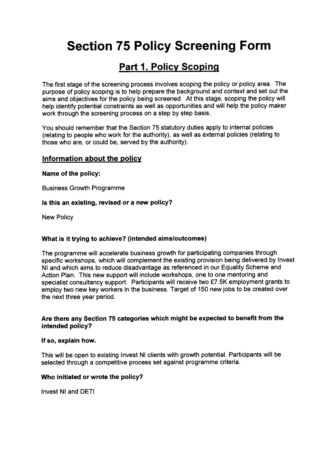# Section 75 Policy Screening Form

## Part 1. Policy Scoping

The first stage of the screening process involves scoping the policy or policy area. The purpose of policy scoping is to help prepare the background and context and set out the aims and objectives for the policy being screened. At this stage, scoping the policy will help identify potential constraints as well as opportunities and will help the policy maker work through the screening process on a step by step basis.

You should remember that the Section 75 statutory duties apply to internal policies (relating to people who work for the authority), as well as external policies (relating to those who are, or could be, served by the authority).

### Information about the policy

Name of the policy:

Business Growth Programme

#### Is this an existing, revised or a new policy?

New Policy

### What is it trying to achieve? (intended aimsloutcomes)

The programme will accelerate business growth for participating companies through specific workshops, which will complement the existing provision being delivered by Invest NI and which aims to reduce disadvantage as referenced in our Equality Scheme and Action Plan. This new support will include workshops, one to one mentoring and specialist consultancy support. Participants will receive two £7.5K employment grants to employ two new key workers in the business. Target of 150 new jobs to be created over the next three year period.

### Are there any Section 75 categories which might be expected to benefit from the intended policy?

#### If so, explain how.

This will be open to existing Invest NI clients with growth potential. Participants will be selected through a competitive process set against programme criteria.

#### Who initiated or wrote the policy?

Invest NI and DETI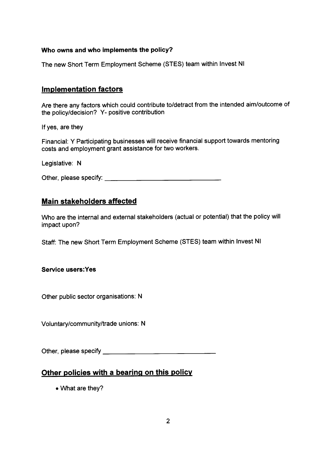### Who owns and who implements the policy?

The new Short Term Employment Scheme (STES) team within Invest NI

### Implementation factors

Are there any factors which could contribute to/detract from the intended aim/outcome of the policy/decision? Y- positive contribution

If yes, are they

Financial: <sup>Y</sup> Participating businesses will receive financial suppor<sup>t</sup> towards mentoring costs and employment gran<sup>t</sup> assistance for two workers.

Legislative: N

Other, please specify:

### Main stakeholders affected

Who are the internal and external stakeholders (actual or potential) that the policy will impact upon?

Staff: The new Short Term Employment Scheme (STES) team within Invest NI

Service users:Yes

Other public sector organisations: N

Voluntary/community/trade unions: <sup>N</sup>

Other, please specify

## Other policies with <sup>a</sup> bearing on this policy

• What are they?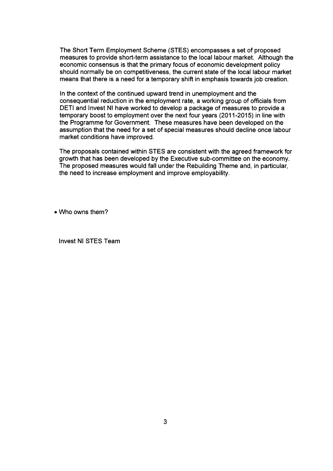The Short Term Employment Scheme (STES) encompasses a set of proposed measures to provide short-term assistance to the local labour market. Although the economic consensus is that the primary focus of economic development policy should normally be on competitiveness, the current state of the local labour market means that there is a need for a temporary shift in emphasis towards job creation.

In the context of the continued upward trend in unemployment and the consequential reduction in the employment rate, a working group of officials from DETI and Invest NI have worked to develop a package of measures to provide a temporary boost to employment over the next four years (2011-2015) in line with the Programme for Government. These measures have been developed on the assumption that the need for a set of special measures should decline once labour market conditions have improved.

The proposals contained within STES are consistent with the agreed framework for growth that has been developed by the Executive sub-committee on the economy. The proposed measures would fall under the Rebuilding Theme and, in particular, the need to increase employment and improve employability.

• Who owns them?

Invest NI STES Team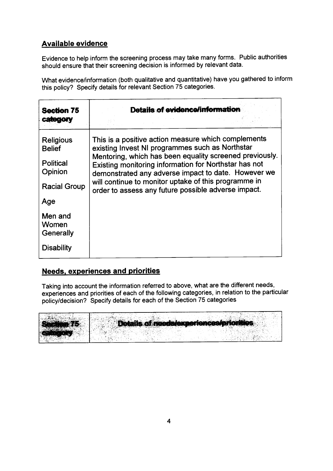## Available evidence

Evidence to help inform the screening process may take many forms. Public authorities should ensure that their screening decision is informed by relevant data.

What evidence/information (both qualitative and quantitative) have you gathered to inform this policy? Specify details for relevant Section <sup>75</sup> categories.

| <b>Section 75</b>                                                | Details of evidence/information                                                                                                                                                                                                                                                                                                           |  |
|------------------------------------------------------------------|-------------------------------------------------------------------------------------------------------------------------------------------------------------------------------------------------------------------------------------------------------------------------------------------------------------------------------------------|--|
|                                                                  |                                                                                                                                                                                                                                                                                                                                           |  |
| <b>Religious</b><br><b>Belief</b><br><b>Political</b><br>Opinion | This is a positive action measure which complements<br>existing Invest NI programmes such as Northstar<br>Mentoring, which has been equality screened previously.<br>Existing monitoring information for Northstar has not<br>demonstrated any adverse impact to date. However we<br>will continue to monitor uptake of this programme in |  |
| <b>Racial Group</b>                                              | order to assess any future possible adverse impact.                                                                                                                                                                                                                                                                                       |  |
| Age                                                              |                                                                                                                                                                                                                                                                                                                                           |  |
| Men and<br>Women<br>Generally                                    |                                                                                                                                                                                                                                                                                                                                           |  |
| <b>Disability</b>                                                |                                                                                                                                                                                                                                                                                                                                           |  |

## Needs, experiences and priorities

Taking into account the information referred to above, what are the different needs, experiences and priorities of each of the following categories, in relation to the particular policy/decision? Specify details for each of the Section <sup>75</sup> categories

| <b>CANADIAN COMPOSITION</b> |                                         |  |
|-----------------------------|-----------------------------------------|--|
|                             |                                         |  |
|                             |                                         |  |
|                             |                                         |  |
|                             |                                         |  |
|                             |                                         |  |
| Section 75                  | Details of needs/experiences/priorities |  |
|                             |                                         |  |
|                             |                                         |  |
|                             |                                         |  |
|                             |                                         |  |
|                             |                                         |  |
|                             |                                         |  |
|                             |                                         |  |
|                             |                                         |  |
|                             |                                         |  |
|                             |                                         |  |
|                             |                                         |  |
| 36.39                       |                                         |  |
|                             |                                         |  |
|                             |                                         |  |
|                             |                                         |  |
|                             |                                         |  |
|                             |                                         |  |
|                             |                                         |  |
|                             |                                         |  |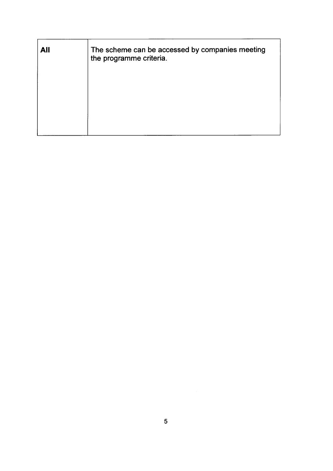| <b>All</b> | The scheme can be accessed by companies meeting<br>the programme criteria. |
|------------|----------------------------------------------------------------------------|
|            |                                                                            |
|            |                                                                            |
|            |                                                                            |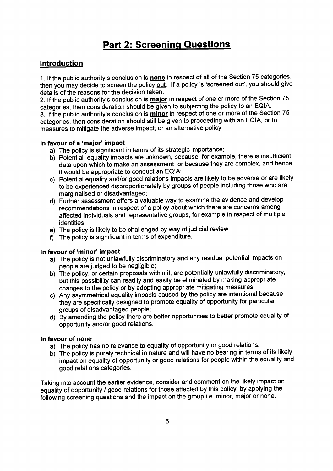## Part 2: Screening Questions

## **Introduction**

1. If the public authority's conclusion is <u>none</u> in respect of all of the Section 75 categories, Introduction<br>1. If the public authority's conclusion is <u>none</u> in respect of all of the Section 75 categories,<br>then you may decide to screen the policy <u>out</u>. If a policy is 'screened out', you should give<br>details of the details of the reasons for the decision taken.

2. If the public authority's conclusion is major in respect of one or more of the Section 75 categories, then consideration should be <sup>g</sup>iven to subjecting the policy to an EQIA. 3. If the public authority's conclusion is minor in respect of one or more of the Section 75 categories, then consideration should still be <sup>g</sup>iven to proceeding with an EQIA, or to measures to mitigate the adverse impact; or an alternative policy.

#### In favour of <sup>a</sup> 'major' impact

- a) The policy is significant in terms of its strategic importance;
- b) Potential equality impacts are unknown, because, for example, there is insufficient data upon which to make an assessment or because they are complex, and hence it would be appropriate to conduct an EQIA;
- c) Potential equality and/or goo<sup>d</sup> relations impacts are likely to be adverse or are likely to be experienced disproportionately by groups of people including those who are marginalised or disadvantaged;
- d) Further assessment offers <sup>a</sup> valuable way to examine the evidence and develop recommendations in respec<sup>t</sup> of <sup>a</sup> policy about which there are concerns among affected individuals and representative groups, for example in respec<sup>t</sup> of multiple identities;
- e) The policy is likely to be challenged by way of judicial review;
- f) The policy is significant in terms of expenditure.

#### In favour of 'minor' impact

- a) The policy is not unlawfully discriminatory and any residual potential impacts on people are judged to be negligible;
- b) The policy, or certain proposals within it, are potentially unlawfully discriminatory, but this possibility can readily and easily be eliminated by making appropriate changes to the policy or by adopting appropriate mitigating measures;
- c) Any asymmetrical equality impacts caused by the policy are intentional because they are specifically designed to promote equality of opportunity for particular groups of disadvantaged people;
- d) By amending the policy there are better opportunities to better promote equality of opportunity and/or good relations.

#### In favour of none

- a) The policy has no relevance to equality of opportunity or goo<sup>d</sup> relations.
- b) The policy is purely technical in nature and will have no bearing in terms of its likely impact on equality of opportunity or goo<sup>d</sup> relations for people within the equality and good relations categories.

Taking into account the earlier evidence, consider and comment on the likely impact on equality of opportunity / goo<sup>d</sup> relations for those affected by this policy, by applying the following screening questions and the impact on the group i.e. minor, major or none.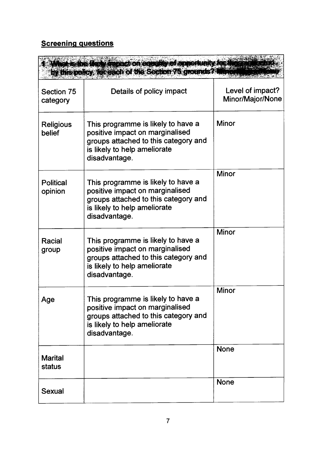## **Screening questions**

|                             | What is the likely matrice on equality of opportunity for the<br>by this policy, for each of the Section 75 grounds? Minion                                    |                                      |
|-----------------------------|----------------------------------------------------------------------------------------------------------------------------------------------------------------|--------------------------------------|
| Section 75<br>category      | Details of policy impact                                                                                                                                       | Level of impact?<br>Minor/Major/None |
| <b>Religious</b><br>belief  | This programme is likely to have a<br>positive impact on marginalised<br>groups attached to this category and<br>is likely to help ameliorate<br>disadvantage. | <b>Minor</b>                         |
| <b>Political</b><br>opinion | This programme is likely to have a<br>positive impact on marginalised<br>groups attached to this category and<br>is likely to help ameliorate<br>disadvantage. | <b>Minor</b>                         |
| Racial<br>group             | This programme is likely to have a<br>positive impact on marginalised<br>groups attached to this category and<br>is likely to help ameliorate<br>disadvantage. | <b>Minor</b>                         |
| Age                         | This programme is likely to have a<br>positive impact on marginalised<br>groups attached to this category and<br>is likely to help ameliorate<br>disadvantage. | <b>Minor</b>                         |
| <b>Marital</b><br>status    |                                                                                                                                                                | <b>None</b>                          |
| Sexual                      |                                                                                                                                                                | <b>None</b>                          |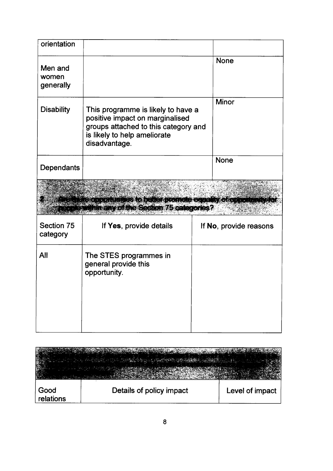| orientation                   |                                                                                                                                                                |                        |
|-------------------------------|----------------------------------------------------------------------------------------------------------------------------------------------------------------|------------------------|
| Men and<br>women<br>generally |                                                                                                                                                                | <b>None</b>            |
| <b>Disability</b>             | This programme is likely to have a<br>positive impact on marginalised<br>groups attached to this category and<br>is likely to help ameliorate<br>disadvantage. | <b>Minor</b>           |
| Dependants                    |                                                                                                                                                                | <b>None</b>            |
|                               | <b>A contract of on inmersion beneficial annone concert followed</b><br><b><i><u>Columnany of the Section 75 categories?</u></i></b>                           |                        |
| Section 75<br>category        | If Yes, provide details                                                                                                                                        | If No, provide reasons |
| All                           | The STES programmes in<br>general provide this<br>opportunity.                                                                                                 |                        |
|                               |                                                                                                                                                                |                        |

|                   | <b>CONTRACTOR</b> CONTRACTOR |                 |
|-------------------|------------------------------|-----------------|
| Good<br>relations | Details of policy impact     | Level of impact |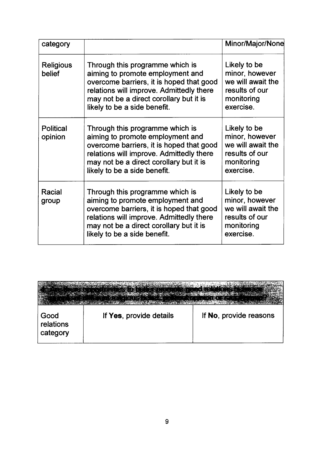| category                    |                                                                                                                                                                                                                                        | Minor/Major/None                                                                                 |
|-----------------------------|----------------------------------------------------------------------------------------------------------------------------------------------------------------------------------------------------------------------------------------|--------------------------------------------------------------------------------------------------|
| <b>Religious</b><br>belief  | Through this programme which is<br>aiming to promote employment and<br>overcome barriers, it is hoped that good<br>relations will improve. Admittedly there<br>may not be a direct corollary but it is<br>likely to be a side benefit. | Likely to be<br>minor, however<br>we will await the<br>results of our<br>monitoring<br>exercise. |
| <b>Political</b><br>opinion | Through this programme which is<br>aiming to promote employment and<br>overcome barriers, it is hoped that good<br>relations will improve. Admittedly there<br>may not be a direct corollary but it is<br>likely to be a side benefit. | Likely to be<br>minor, however<br>we will await the<br>results of our<br>monitoring<br>exercise. |
| Racial<br>group             | Through this programme which is<br>aiming to promote employment and<br>overcome barriers, it is hoped that good<br>relations will improve. Admittedly there<br>may not be a direct corollary but it is<br>likely to be a side benefit. | Likely to be<br>minor, however<br>we will await the<br>results of our<br>monitoring<br>exercise. |

| Good<br>relations<br>category | If Yes, provide details | If No, provide reasons |
|-------------------------------|-------------------------|------------------------|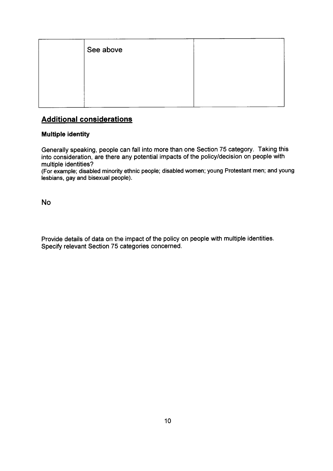| See above |  |
|-----------|--|
|           |  |
|           |  |
|           |  |

## Additional considerations

### Multiple identity

Generally speaking, people can fall into more than one Section 75 category. Taking this into consideration, are there any potential impacts of the policy/decision on people with multiple identities?

(For example; disabled minority ethnic people; disabled women; young Protestant men; and young lesbians, gay and bisexual people).

No

Provide details of data on the impact of the policy on people with multiple identities. Specify relevant Section 75 categories concerned.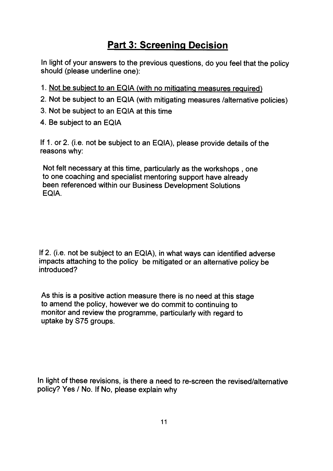## Part 3: Screening Decision

In light of your answers to the previous questions, do you feel that the policy should (please underline one):

- 1. Not be subiect to an EQIA (with no mitiqating measures required)
- 2. Not be subject to an EQIA (with mitigating measures /alternative policies)
- 3. Not be subject to an EQIA at this time
- 4. Be subject to an EQIA

If 1. or 2. (i.e. not be subject to an EQIA), <sup>p</sup>lease provide details of the reasons why:

Not felt necessary at this time, particularly as the workshops , one to one coaching and specialist mentoring support have already been referenced within our Business Development Solutions EQIA.

If 2. (i.e. not be subject to an EQIA), in what ways can identified adverse impacts attaching to the policy be mitigated or an alternative policy be introduced?

As this is <sup>a</sup> positive action measure there is no need at this stage to amend the policy, however we do commit to continuing to monitor and review the programme, particularly with regard to uptake by S75 groups.

In light of these revisions, is there <sup>a</sup> need to re-screen the revised/alternative policy? Yes / No. If No, <sup>p</sup>lease explain why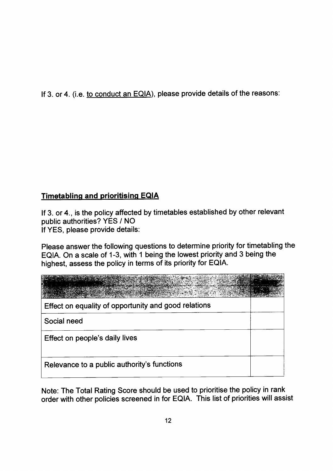If 3. or 4. (i.e. to conduct an EQIA), please provide details of the reasons:

## Timetabling and prioritising EQIA

If 3. or 4., is the policy affected by timetables established by other relevant public authorities? YES / NO If YES, please provide details:

Please answer the following questions to determine priority for timetabling the EQIA. On a scale of 1-3, with 1 being the lowest priority and 3 being the highest, assess the policy in terms of its priority for EQIA.

| Effect on equality of opportunity and good relations |  |
|------------------------------------------------------|--|
| Social need                                          |  |
| Effect on people's daily lives                       |  |
| Relevance to a public authority's functions          |  |

Note: The Total Rating Score should be used to prioritise the policy in rank order with other policies screened in for EQIA. This list of priorities will assist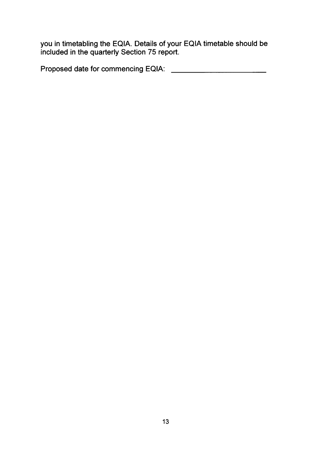you in timetabling the EQIA. Details of your EQIA timetable should be included in the quarterly Section 75 report.

Proposed date for commencing EQIA: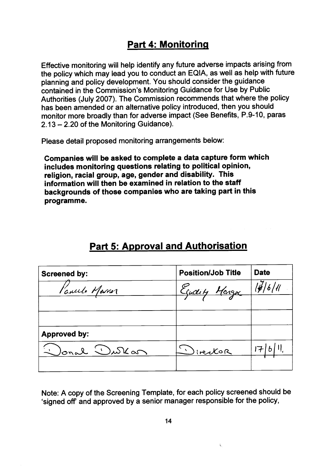## Part 4: Monitoring

Effective monitoring will help identify any future adverse impacts arising from the policy which may lead you to conduct an EQIA, as well as help with future <sup>p</sup>lanning and policy development. You should consider the guidance contained in the Commission's Monitoring Guidance for Use by Public Authorities (July 2007). The Commission recommends that where the policy has been amended or an alternative policy introduced, then you should monitor more broadly than for adverse impact (See Benefits, P.9-10, paras 2.13—2.20 of the Monitoring Guidance).

Please detail propose<sup>d</sup> monitoring arrangements below:

Companies will be asked to complete <sup>a</sup> data capture form which includes monitoring questions relating to political opinion, religion, racial group, age, gender and disability. This information will then be examined in relation to the staff backgrounds of those companies who are taking par<sup>t</sup> in this programme.

| <b>Screened by:</b> | <b>Position/Job Title</b> | <b>Date</b> |
|---------------------|---------------------------|-------------|
| l'avecle Marrer     | Eadily Margar             | 14/6/11     |
|                     |                           |             |
|                     |                           |             |
| <b>Approved by:</b> |                           |             |
| Jonal<br>Wurkan     | livector                  |             |
|                     |                           |             |

## Part 5: Approval and Authorisation

Note: <sup>A</sup> copy of the Screening Template, for each policy screened should be 'signed off' and approve<sup>d</sup> by <sup>a</sup> senior manager responsible for the policy,

Ÿ.